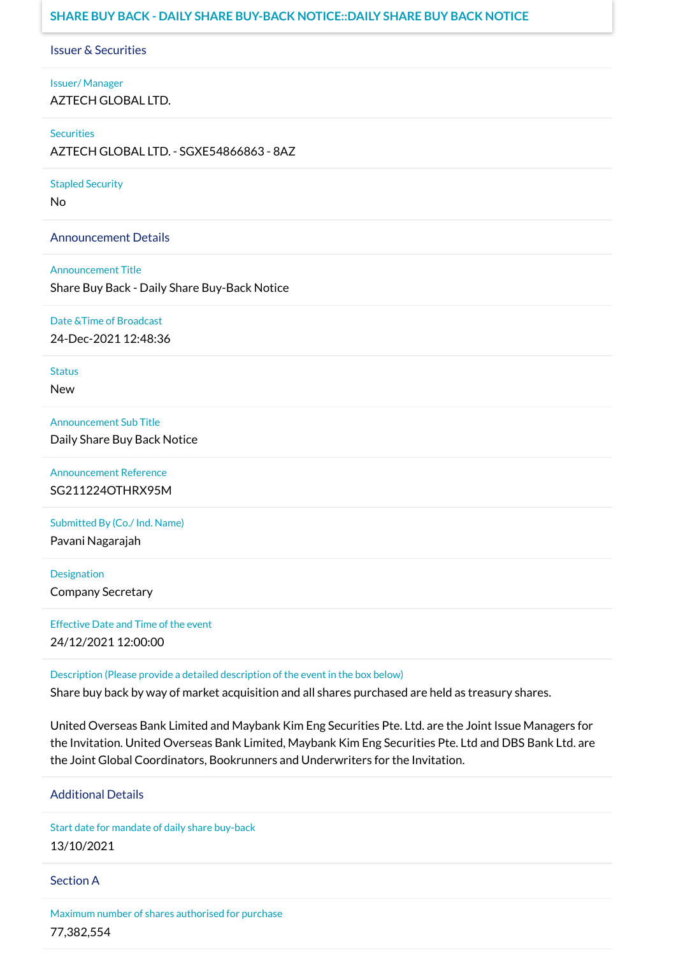# **SHARE BUY BACK - DAILY SHARE BUY-BACK NOTICE::DAILY SHARE BUY BACK NOTICE**

Issuer & Securities

Issuer/ Manager AZTECH GLOBAL LTD.

**Securities** 

AZTECH GLOBAL LTD. - SGXE54866863 - 8AZ

Stapled Security

No

Announcement Details

Announcement Title

Share Buy Back - Daily Share Buy-Back Notice

Date &Time of Broadcast

24-Dec-2021 12:48:36

Status

New

Announcement Sub Title Daily Share Buy Back Notice

Announcement Reference SG211224OTHRX95M

Submitted By (Co./ Ind. Name)

Pavani Nagarajah

**Designation** Company Secretary

Effective Date and Time of the event 24/12/2021 12:00:00

Description (Please provide a detailed description of the event in the box below)

Share buy back by way of market acquisition and all shares purchased are held as treasury shares.

United Overseas Bank Limited and Maybank Kim Eng Securities Pte. Ltd. are the Joint Issue Managers for the Invitation. United Overseas Bank Limited, Maybank Kim Eng Securities Pte. Ltd and DBS Bank Ltd. are the Joint Global Coordinators, Bookrunners and Underwriters for the Invitation.

Additional Details

Start date for mandate of daily share buy-back 13/10/2021

Section A

Maximum number of shares authorised for purchase 77,382,554